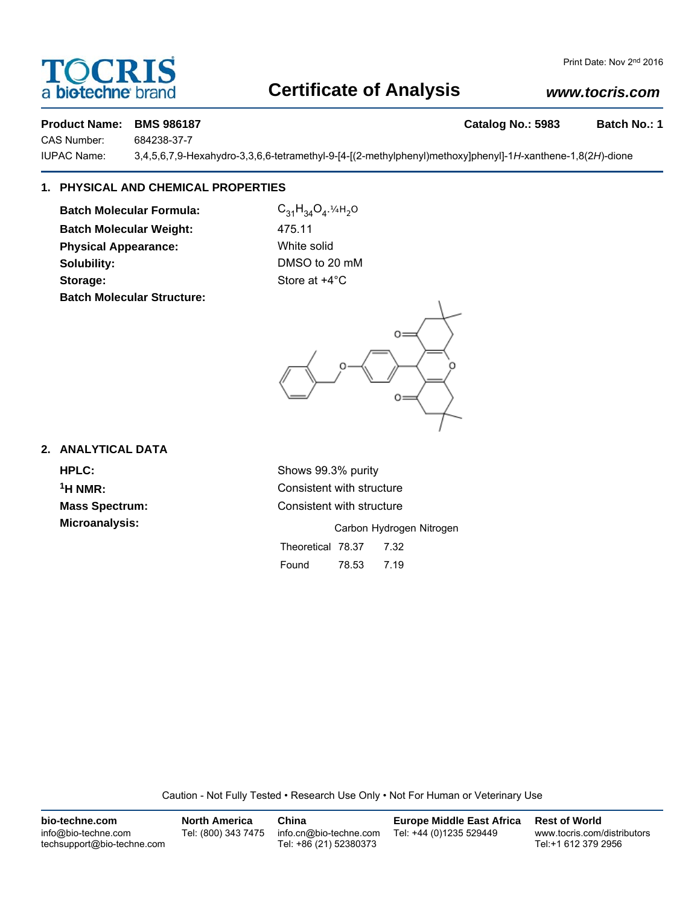# a **biotechne** brand

# **Certificate of Analysis**

# *www.tocris.com*

### **Product Name: BMS 986187 Catalog No.: 5983 Batch No.: 1**

CAS Number: 684238-37-7

IUPAC Name: 3,4,5,6,7,9-Hexahydro-3,3,6,6-tetramethyl-9-[4-[(2-methylphenyl)methoxy]phenyl]-1*H*-xanthene-1,8(2*H*)-dione

# **1. PHYSICAL AND CHEMICAL PROPERTIES**

**Batch Molecular Formula:** C<sub>31</sub>H<sub>34</sub>O<sub>4</sub>.¼H<sub>2</sub>O **Batch Molecular Weight:** 475.11 **Physical Appearance:** White solid **Solubility:** DMSO to 20 mM **Storage:** Store at  $+4^{\circ}$ C **Batch Molecular Structure:**



## **2. ANALYTICAL DATA**

**HPLC:** Shows 99.3% purity <sup>1</sup>H NMR: Consistent with structure **Mass Spectrum:** Consistent with structure

**Microanalysis:** Microanalysis: **Carbon Hydrogen Nitrogen** Theoretical 78.37 7.32 Found 78.53 7.19

Caution - Not Fully Tested • Research Use Only • Not For Human or Veterinary Use

| bio-techne.com                                    | North America       | China                                            | <b>Europe Middle East Africa</b> | <b>Rest of World</b>                               |
|---------------------------------------------------|---------------------|--------------------------------------------------|----------------------------------|----------------------------------------------------|
| info@bio-techne.com<br>techsupport@bio-techne.com | Tel: (800) 343 7475 | info.cn@bio-techne.com<br>Tel: +86 (21) 52380373 | Tel: +44 (0)1235 529449          | www.tocris.com/distributors<br>Tel:+1 612 379 2956 |